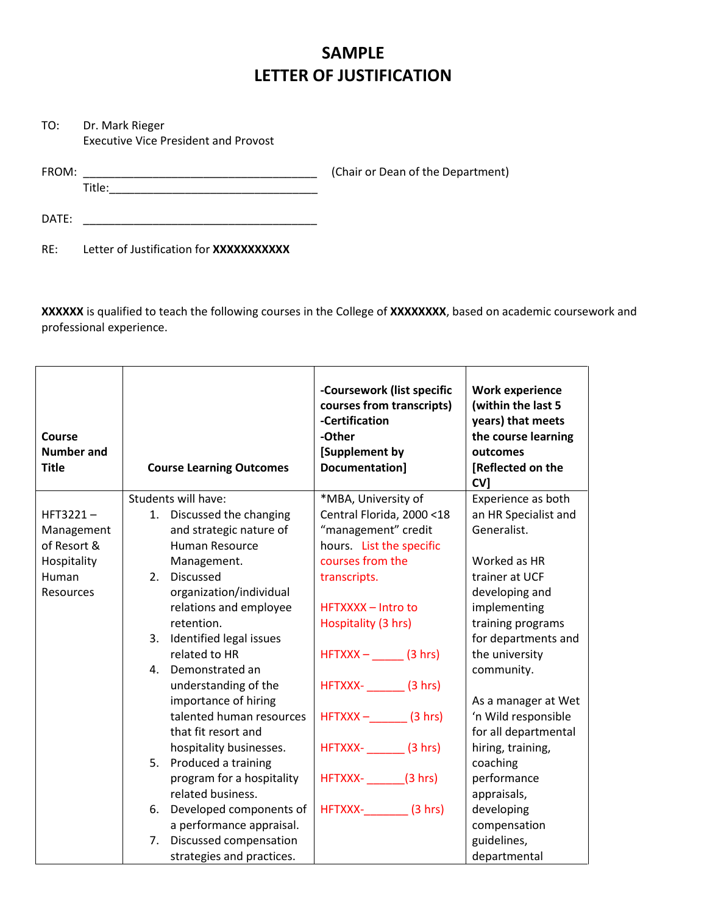## **SAMPLE LETTER OF JUSTIFICATION**

TO: Dr. Mark Rieger Executive Vice President and Provost

FROM: \_\_\_\_\_\_\_\_\_\_\_\_\_\_\_\_\_\_\_\_\_\_\_\_\_\_\_\_\_\_\_\_\_\_\_\_\_ (Chair or Dean of the Department)

DATE: \_\_\_\_\_\_\_\_\_\_\_\_\_\_\_\_\_\_\_\_\_\_\_\_\_\_\_\_\_\_\_\_\_\_\_\_\_

Title:\_\_\_\_\_\_\_\_\_\_\_\_\_\_\_\_\_\_\_\_\_\_\_\_\_\_\_\_\_\_\_\_\_

RE: Letter of Justification for **XXXXXXXXXXX**

**XXXXXX** is qualified to teach the following courses in the College of **XXXXXXXX**, based on academic coursework and professional experience.

| <b>Course</b><br><b>Number and</b><br><b>Title</b> | <b>Course Learning Outcomes</b> | -Coursework (list specific<br>courses from transcripts)<br>-Certification<br>-Other<br>[Supplement by<br>Documentation] | <b>Work experience</b><br>(within the last 5<br>years) that meets<br>the course learning<br>outcomes<br>[Reflected on the<br>CV <sub>1</sub> |
|----------------------------------------------------|---------------------------------|-------------------------------------------------------------------------------------------------------------------------|----------------------------------------------------------------------------------------------------------------------------------------------|
|                                                    | Students will have:             | *MBA, University of                                                                                                     | Experience as both                                                                                                                           |
| $HFT3221-$                                         | 1. Discussed the changing       | Central Florida, 2000 <18                                                                                               | an HR Specialist and                                                                                                                         |
| Management                                         | and strategic nature of         | "management" credit                                                                                                     | Generalist.                                                                                                                                  |
| of Resort &                                        | <b>Human Resource</b>           | hours. List the specific                                                                                                |                                                                                                                                              |
| Hospitality                                        | Management.                     | courses from the                                                                                                        | Worked as HR                                                                                                                                 |
| Human                                              | <b>Discussed</b><br>2.          | transcripts.                                                                                                            | trainer at UCF                                                                                                                               |
| Resources                                          | organization/individual         |                                                                                                                         | developing and                                                                                                                               |
|                                                    | relations and employee          | HFTXXXX - Intro to                                                                                                      | implementing                                                                                                                                 |
|                                                    | retention.                      | Hospitality (3 hrs)                                                                                                     | training programs                                                                                                                            |
|                                                    | Identified legal issues<br>3.   |                                                                                                                         | for departments and                                                                                                                          |
|                                                    | related to HR                   | $HFTXXX -$ (3 hrs)                                                                                                      | the university                                                                                                                               |
|                                                    | Demonstrated an<br>4.           |                                                                                                                         | community.                                                                                                                                   |
|                                                    | understanding of the            | HFTXXX- (3 hrs)                                                                                                         |                                                                                                                                              |
|                                                    | importance of hiring            |                                                                                                                         | As a manager at Wet                                                                                                                          |
|                                                    | talented human resources        | $HFTXXX -$ (3 hrs)                                                                                                      | 'n Wild responsible                                                                                                                          |
|                                                    | that fit resort and             |                                                                                                                         | for all departmental                                                                                                                         |
|                                                    | hospitality businesses.         | HFTXXX- (3 hrs)                                                                                                         | hiring, training,                                                                                                                            |
|                                                    | 5.<br>Produced a training       |                                                                                                                         | coaching                                                                                                                                     |
|                                                    | program for a hospitality       | HFTXXX- (3 hrs)                                                                                                         | performance                                                                                                                                  |
|                                                    | related business.               |                                                                                                                         | appraisals,                                                                                                                                  |
|                                                    | Developed components of<br>6.   | HFTXXX- (3 hrs)                                                                                                         | developing                                                                                                                                   |
|                                                    | a performance appraisal.        |                                                                                                                         | compensation                                                                                                                                 |
|                                                    | Discussed compensation<br>7.    |                                                                                                                         | guidelines,                                                                                                                                  |
|                                                    | strategies and practices.       |                                                                                                                         | departmental                                                                                                                                 |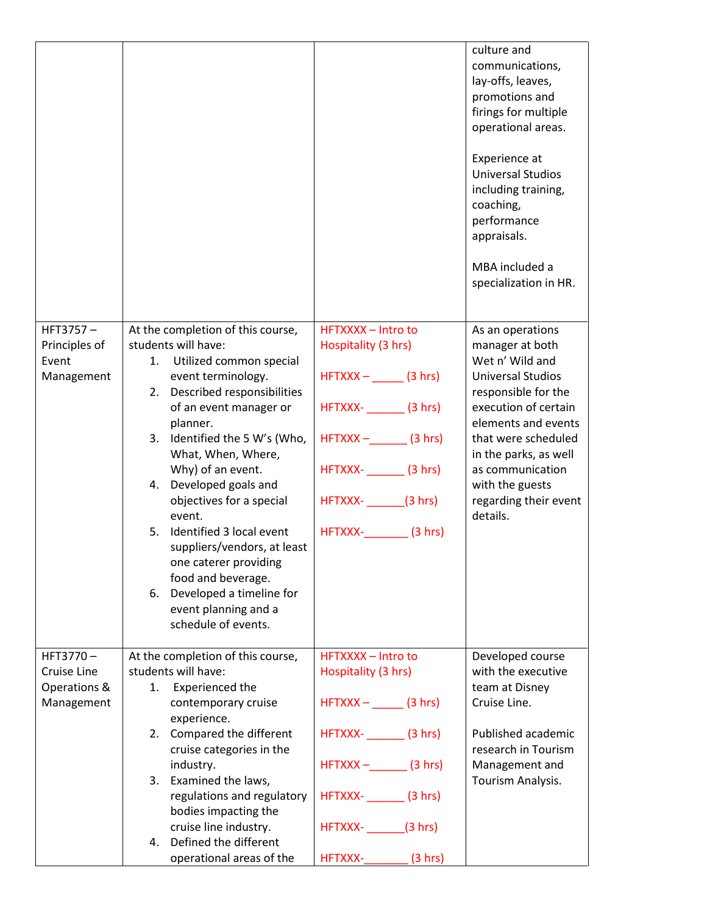|                             |                                                          |                                                  | culture and<br>communications,<br>lay-offs, leaves,<br>promotions and<br>firings for multiple<br>operational areas.<br>Experience at<br><b>Universal Studios</b><br>including training,<br>coaching,<br>performance<br>appraisals.<br>MBA included a<br>specialization in HR. |
|-----------------------------|----------------------------------------------------------|--------------------------------------------------|-------------------------------------------------------------------------------------------------------------------------------------------------------------------------------------------------------------------------------------------------------------------------------|
| $HFT3757-$<br>Principles of | At the completion of this course,<br>students will have: | <b>HFTXXXX - Intro to</b><br>Hospitality (3 hrs) | As an operations<br>manager at both                                                                                                                                                                                                                                           |
| Event                       | Utilized common special<br>1.                            |                                                  | Wet n' Wild and                                                                                                                                                                                                                                                               |
| Management                  | event terminology.                                       | $HFTXXX -$ (3 hrs)                               | <b>Universal Studios</b>                                                                                                                                                                                                                                                      |
|                             | Described responsibilities<br>2.                         |                                                  | responsible for the                                                                                                                                                                                                                                                           |
|                             | of an event manager or<br>planner.                       | HFTXXX- (3 hrs)                                  | execution of certain<br>elements and events                                                                                                                                                                                                                                   |
|                             | Identified the 5 W's (Who,<br>3.                         | $HFTXXX -$ (3 hrs)                               | that were scheduled                                                                                                                                                                                                                                                           |
|                             | What, When, Where,                                       |                                                  | in the parks, as well                                                                                                                                                                                                                                                         |
|                             | Why) of an event.                                        | HFTXXX- ________ (3 hrs)                         | as communication                                                                                                                                                                                                                                                              |
|                             | Developed goals and<br>4.                                |                                                  | with the guests                                                                                                                                                                                                                                                               |
|                             | objectives for a special                                 | HFTXXX- (3 hrs)                                  | regarding their event                                                                                                                                                                                                                                                         |
|                             | event.<br>Identified 3 local event<br>5.                 |                                                  | details.                                                                                                                                                                                                                                                                      |
|                             | suppliers/vendors, at least                              | HFTXXX- (3 hrs)                                  |                                                                                                                                                                                                                                                                               |
|                             | one caterer providing                                    |                                                  |                                                                                                                                                                                                                                                                               |
|                             | food and beverage.                                       |                                                  |                                                                                                                                                                                                                                                                               |
|                             | Developed a timeline for<br>6.                           |                                                  |                                                                                                                                                                                                                                                                               |
|                             | event planning and a                                     |                                                  |                                                                                                                                                                                                                                                                               |
|                             | schedule of events.                                      |                                                  |                                                                                                                                                                                                                                                                               |
| HFT3770-                    | At the completion of this course,                        | HFTXXXX - Intro to                               | Developed course                                                                                                                                                                                                                                                              |
| Cruise Line                 | students will have:                                      | Hospitality (3 hrs)                              | with the executive                                                                                                                                                                                                                                                            |
| Operations &                | Experienced the<br>1.                                    |                                                  | team at Disney                                                                                                                                                                                                                                                                |
| Management                  | contemporary cruise                                      | $HFTXXX -$ (3 hrs)                               | Cruise Line.                                                                                                                                                                                                                                                                  |
|                             | experience.                                              |                                                  |                                                                                                                                                                                                                                                                               |
|                             | 2. Compared the different                                | HFTXXX- (3 hrs)                                  | Published academic                                                                                                                                                                                                                                                            |
|                             | cruise categories in the<br>industry.                    | $HFTXXX -$ (3 hrs)                               | research in Tourism<br>Management and                                                                                                                                                                                                                                         |
|                             | 3. Examined the laws,                                    |                                                  | Tourism Analysis.                                                                                                                                                                                                                                                             |
|                             | regulations and regulatory                               | HFTXXX- (3 hrs)                                  |                                                                                                                                                                                                                                                                               |
|                             | bodies impacting the                                     |                                                  |                                                                                                                                                                                                                                                                               |
|                             | cruise line industry.                                    | HFTXXX- (3 hrs)                                  |                                                                                                                                                                                                                                                                               |
|                             | Defined the different<br>4.                              |                                                  |                                                                                                                                                                                                                                                                               |
|                             | operational areas of the                                 | HFTXXX-LAND<br>(3 hrs)                           |                                                                                                                                                                                                                                                                               |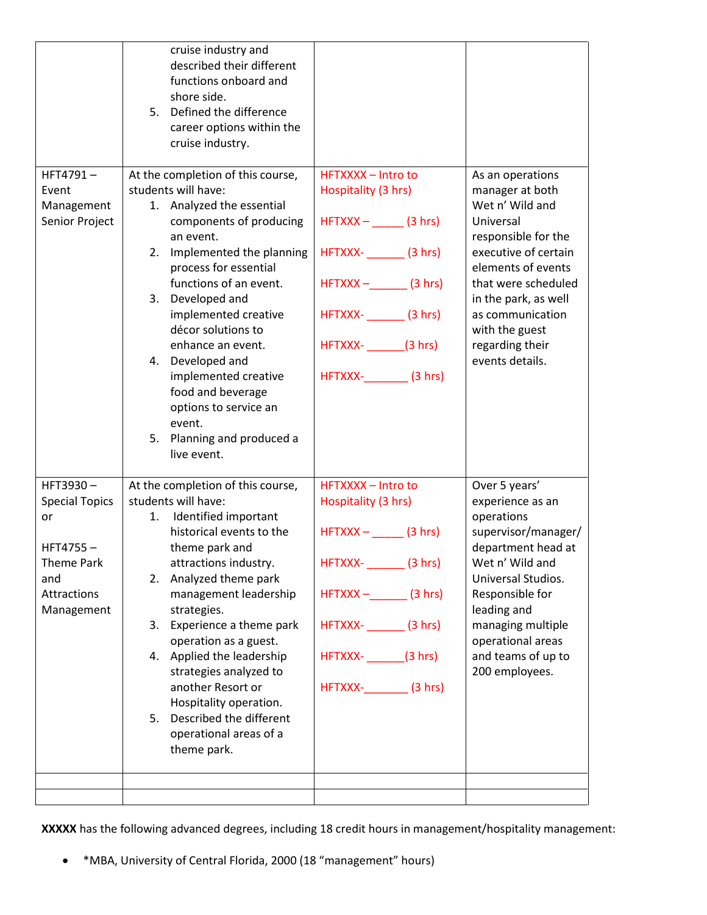|                                                   | cruise industry and<br>described their different<br>functions onboard and<br>shore side.<br>Defined the difference<br>5.<br>career options within the<br>cruise industry.                                                                                                                                                                                                                                                                                  |                                                                                                                                                                   |                                                                                                                                                                                                                                                                     |
|---------------------------------------------------|------------------------------------------------------------------------------------------------------------------------------------------------------------------------------------------------------------------------------------------------------------------------------------------------------------------------------------------------------------------------------------------------------------------------------------------------------------|-------------------------------------------------------------------------------------------------------------------------------------------------------------------|---------------------------------------------------------------------------------------------------------------------------------------------------------------------------------------------------------------------------------------------------------------------|
| HFT4791-<br>Event<br>Management<br>Senior Project | At the completion of this course,<br>students will have:<br>1. Analyzed the essential<br>components of producing<br>an event.<br>2. Implemented the planning<br>process for essential<br>functions of an event.<br>3. Developed and<br>implemented creative<br>décor solutions to<br>enhance an event.<br>4. Developed and<br>implemented creative<br>food and beverage<br>options to service an<br>event.<br>Planning and produced a<br>5.<br>live event. | HFTXXXX - Intro to<br>Hospitality (3 hrs)<br>$HFTXXX -$ (3 hrs)<br>HFTXXX- (3 hrs)<br>$HFTXXX -$ (3 hrs)<br>HFTXXX- (3 hrs)<br>HFTXXX- (3 hrs)<br>HFTXXX- (3 hrs) | As an operations<br>manager at both<br>Wet n' Wild and<br>Universal<br>responsible for the<br>executive of certain<br>elements of events<br>that were scheduled<br>in the park, as well<br>as communication<br>with the guest<br>regarding their<br>events details. |
| HFT3930-                                          | At the completion of this course,                                                                                                                                                                                                                                                                                                                                                                                                                          | HFTXXXX - Intro to                                                                                                                                                | Over 5 years'                                                                                                                                                                                                                                                       |
| <b>Special Topics</b>                             | students will have:                                                                                                                                                                                                                                                                                                                                                                                                                                        | Hospitality (3 hrs)                                                                                                                                               | experience as an                                                                                                                                                                                                                                                    |
| or                                                | Identified important<br>1.                                                                                                                                                                                                                                                                                                                                                                                                                                 |                                                                                                                                                                   | operations                                                                                                                                                                                                                                                          |
| HFT4755-                                          | historical events to the<br>theme park and                                                                                                                                                                                                                                                                                                                                                                                                                 | $HFTXXX -$ (3 hrs)                                                                                                                                                | supervisor/manager/<br>department head at                                                                                                                                                                                                                           |
| <b>Theme Park</b>                                 | attractions industry.                                                                                                                                                                                                                                                                                                                                                                                                                                      | HFTXXX- ________ (3 hrs)                                                                                                                                          | Wet n' Wild and                                                                                                                                                                                                                                                     |
| and                                               | Analyzed theme park<br>2.                                                                                                                                                                                                                                                                                                                                                                                                                                  |                                                                                                                                                                   | Universal Studios.                                                                                                                                                                                                                                                  |
| Attractions<br>Management                         | management leadership<br>strategies.                                                                                                                                                                                                                                                                                                                                                                                                                       | $HFTXXX -$ (3 hrs)                                                                                                                                                | Responsible for<br>leading and                                                                                                                                                                                                                                      |
|                                                   | Experience a theme park<br>3.                                                                                                                                                                                                                                                                                                                                                                                                                              | HFTXXX- (3 hrs)                                                                                                                                                   | managing multiple                                                                                                                                                                                                                                                   |
|                                                   | operation as a guest.                                                                                                                                                                                                                                                                                                                                                                                                                                      |                                                                                                                                                                   | operational areas                                                                                                                                                                                                                                                   |
|                                                   | 4. Applied the leadership<br>strategies analyzed to                                                                                                                                                                                                                                                                                                                                                                                                        | HFTXXX- (3 hrs)                                                                                                                                                   | and teams of up to<br>200 employees.                                                                                                                                                                                                                                |
|                                                   | another Resort or                                                                                                                                                                                                                                                                                                                                                                                                                                          | HFTXXX- (3 hrs)                                                                                                                                                   |                                                                                                                                                                                                                                                                     |
|                                                   | Hospitality operation.                                                                                                                                                                                                                                                                                                                                                                                                                                     |                                                                                                                                                                   |                                                                                                                                                                                                                                                                     |
|                                                   | Described the different<br>5.<br>operational areas of a<br>theme park.                                                                                                                                                                                                                                                                                                                                                                                     |                                                                                                                                                                   |                                                                                                                                                                                                                                                                     |
|                                                   |                                                                                                                                                                                                                                                                                                                                                                                                                                                            |                                                                                                                                                                   |                                                                                                                                                                                                                                                                     |
|                                                   |                                                                                                                                                                                                                                                                                                                                                                                                                                                            |                                                                                                                                                                   |                                                                                                                                                                                                                                                                     |

**XXXXX** has the following advanced degrees, including 18 credit hours in management/hospitality management:

\*MBA, University of Central Florida, 2000 (18 "management" hours)